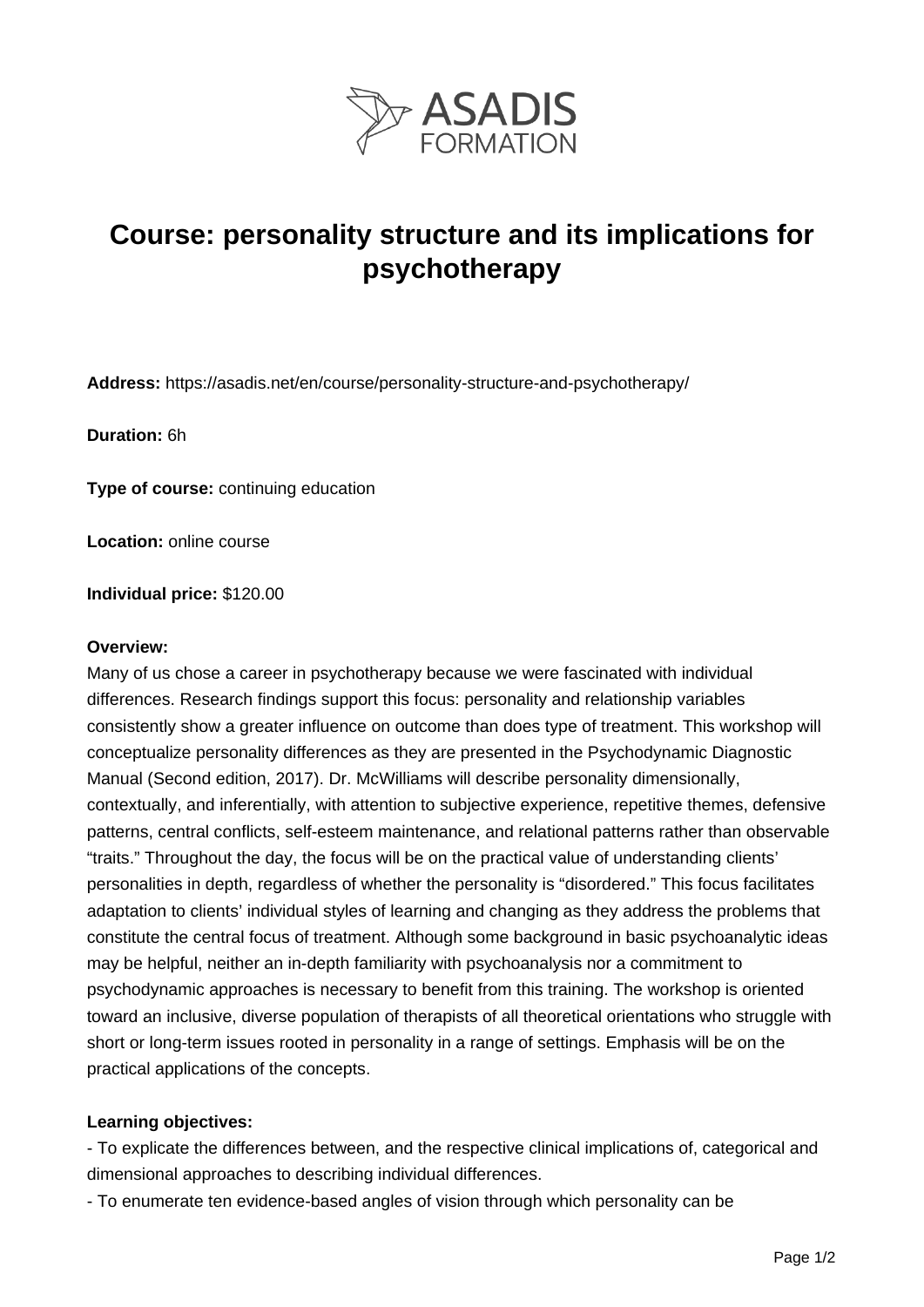

# **Course: personality structure and its implications for psychotherapy**

**Address:** https://asadis.net/en/course/personality-structure-and-psychotherapy/

**Duration:** 6h

**Type of course:** continuing education

**Location:** online course

**Individual price:** \$120.00

#### **Overview:**

Many of us chose a career in psychotherapy because we were fascinated with individual differences. Research findings support this focus: personality and relationship variables consistently show a greater influence on outcome than does type of treatment. This workshop will conceptualize personality differences as they are presented in the Psychodynamic Diagnostic Manual (Second edition, 2017). Dr. McWilliams will describe personality dimensionally, contextually, and inferentially, with attention to subjective experience, repetitive themes, defensive patterns, central conflicts, self-esteem maintenance, and relational patterns rather than observable "traits." Throughout the day, the focus will be on the practical value of understanding clients' personalities in depth, regardless of whether the personality is "disordered." This focus facilitates adaptation to clients' individual styles of learning and changing as they address the problems that constitute the central focus of treatment. Although some background in basic psychoanalytic ideas may be helpful, neither an in-depth familiarity with psychoanalysis nor a commitment to psychodynamic approaches is necessary to benefit from this training. The workshop is oriented toward an inclusive, diverse population of therapists of all theoretical orientations who struggle with short or long-term issues rooted in personality in a range of settings. Emphasis will be on the practical applications of the concepts.

#### **Learning objectives:**

- To explicate the differences between, and the respective clinical implications of, categorical and dimensional approaches to describing individual differences.

- To enumerate ten evidence-based angles of vision through which personality can be